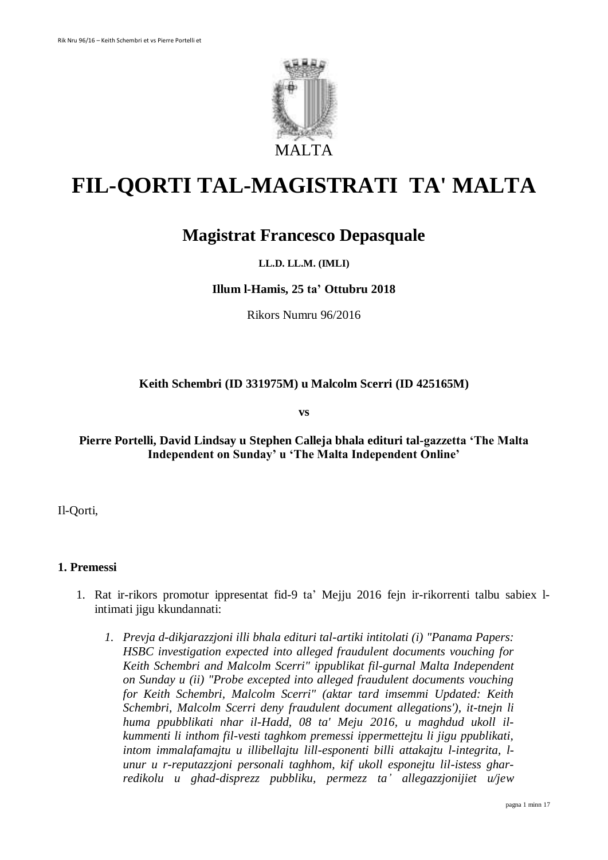

# **FIL-QORTI TAL-MAGISTRATI TA' MALTA**

# **Magistrat Francesco Depasquale**

# **LL.D. LL.M. (IMLI)**

#### **Illum l-Hamis, 25 ta' Ottubru 2018**

Rikors Numru 96/2016

## **Keith Schembri (ID 331975M) u Malcolm Scerri (ID 425165M)**

**vs**

# **Pierre Portelli, David Lindsay u Stephen Calleja bhala edituri tal-gazzetta 'The Malta Independent on Sunday' u 'The Malta Independent Online'**

Il-Qorti,

#### **1. Premessi**

- 1. Rat ir-rikors promotur ippresentat fid-9 ta' Mejju 2016 fejn ir-rikorrenti talbu sabiex lintimati jigu kkundannati:
	- *1. Prevja d-dikjarazzjoni illi bhala edituri tal-artiki intitolati (i) "Panama Papers: HSBC investigation expected into alleged fraudulent documents vouching for Keith Schembri and Malcolm Scerri" ippublikat fil-gurnal Malta Independent on Sunday u (ii) "Probe excepted into alleged fraudulent documents vouching for Keith Schembri, Malcolm Scerri" (aktar tard imsemmi Updated: Keith Schembri, Malcolm Scerri deny fraudulent document allegations'), it-tnejn li huma ppubblikati nhar il-Hadd, 08 ta' Meju 2016, u maghdud ukoll ilkummenti li inthom fil-vesti taghkom premessi ippermettejtu li jigu ppublikati, intom immalafamajtu u illibellajtu lill-esponenti billi attakajtu l-integrita, lunur u r-reputazzjoni personali taghhom, kif ukoll esponejtu lil-istess gharredikolu u ghad-disprezz pubbliku, permezz ta' allegazzjonijiet u/jew*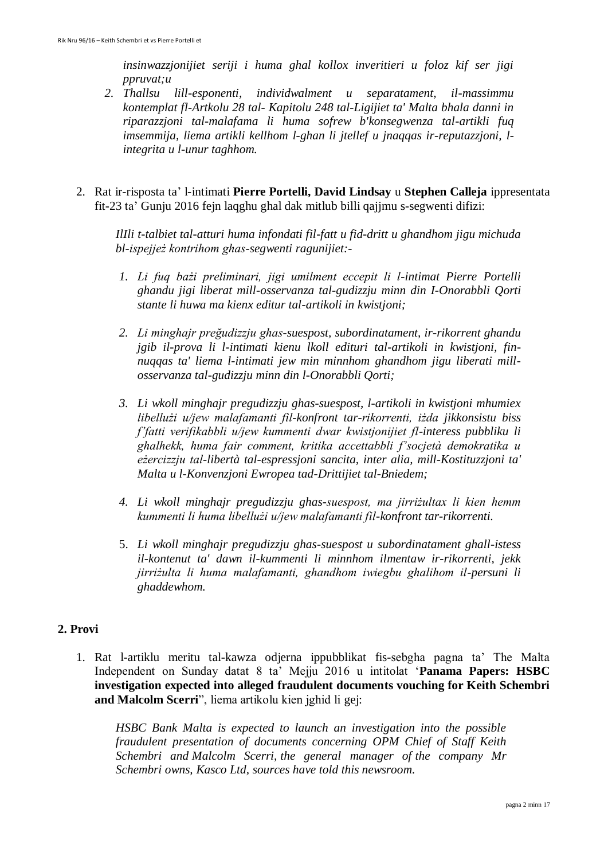*insinwazzjonijiet seriji i huma ghal kollox inveritieri u foloz kif ser jigi ppruvat;u* 

- *2. Thallsu lill-esponenti, individwalment u separatament, il-massimmu kontemplat fl-Artkolu 28 tal- Kapitolu 248 tal-Ligijiet ta' Malta bhala danni in riparazzjoni tal-malafama li huma sofrew b'konsegwenza tal-artikli fuq imsemmija, liema artikli kellhom l-ghan li jtellef u jnaqqas ir-reputazzjoni, lintegrita u l-unur taghhom.*
- 2. Rat ir-risposta ta' l-intimati **Pierre Portelli, David Lindsay** u **Stephen Calleja** ippresentata fit-23 ta' Gunju 2016 fejn laqghu ghal dak mitlub billi qajjmu s-segwenti difizi:

*IlIli t-talbiet tal-atturi huma infondati fil-fatt u fid-dritt u ghandhom jigu michuda bl-ispejjeż kontrihom ghas-segwenti ragunijiet:-*

- *1. Li fuq bażi preliminari, jigi umilment eccepit li l-intimat Pierre Portelli ghandu jigi liberat mill-osservanza tal-gudizzju minn din I-Onorabbli Qorti stante li huwa ma kienx editur tal-artikoli in kwistjoni;*
- *2. Li minghajr preğudizzju ghas-suespost, subordinatament, ir-rikorrent ghandu jgib il-prova li l-intimati kienu lkoll edituri tal-artikoli in kwistjoni, finnuqqas ta' liema l-intimati jew min minnhom ghandhom jigu liberati millosservanza tal-gudizzju minn din l-Onorabbli Qorti;*
- *3. Li wkoll minghajr pregudizzju ghas-suespost, l-artikoli in kwistjoni mhumiex libellużi u/jew malafamanti fil-konfront tar-rikorrenti, iżda jikkonsistu biss f'fatti verifikabbli u/jew kummenti dwar kwistjonijiet fl-interess pubbliku li ghalhekk, huma fair comment, kritika accettabbli f'socjetà demokratika u eżercizzju tal-libertà tal-espressjoni sancita, inter alia, mill-Kostituzzjoni ta' Malta u l-Konvenzjoni Ewropea tad-Drittijiet tal-Bniedem;*
- *4. Li wkoll minghajr pregudizzju ghas-suespost, ma jirriżultax li kien hemm kummenti li huma libellużi u/jew malafamanti fil-konfront tar-rikorrenti.*
- 5. *Li wkoll minghajr pregudizzju ghas-suespost u subordinatament ghall-istess il-kontenut ta' dawn il-kummenti li minnhom ilmentaw ir-rikorrenti, jekk jirriżulta li huma malafamanti, ghandhom iwiegbu ghalihom il-persuni li ghaddewhom.*

## **2. Provi**

1. Rat l-artiklu meritu tal-kawza odjerna ippubblikat fis-sebgha pagna ta' The Malta Independent on Sunday datat 8 ta' Mejju 2016 u intitolat '**Panama Papers: HSBC investigation expected into alleged fraudulent documents vouching for Keith Schembri and Malcolm Scerri**", liema artikolu kien jghid li gej:

*HSBC Bank Malta is expected to launch an investigation into the possible fraudulent presentation of documents concerning OPM Chief of Staff Keith Schembri and Malcolm Scerri, the general manager of the company Mr Schembri owns, Kasco Ltd, sources have told this newsroom.*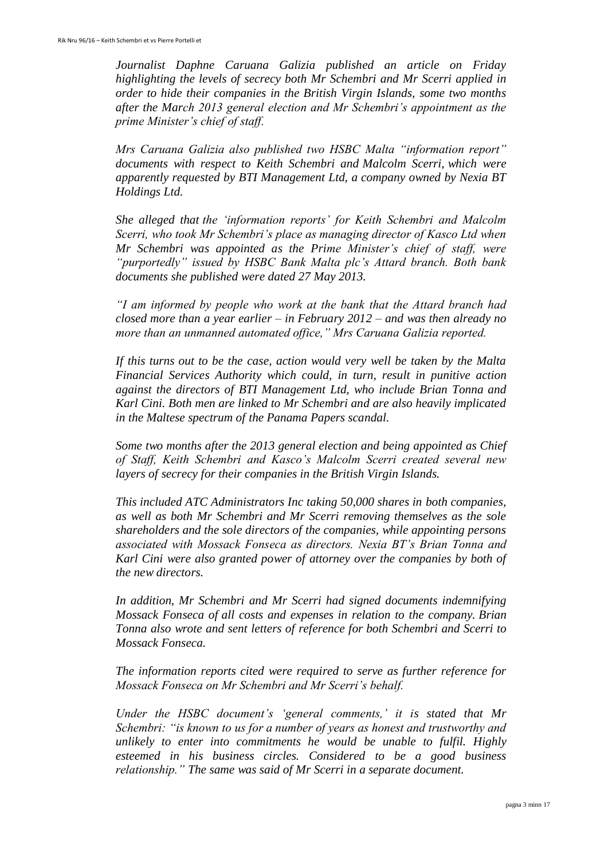*Journalist Daphne Caruana Galizia published an article on Friday highlighting the levels of secrecy both Mr Schembri and Mr Scerri applied in order to hide their companies in the British Virgin Islands, some two months after the March 2013 general election and Mr Schembri's appointment as the prime Minister's chief of staff.*

*Mrs Caruana Galizia also published two HSBC Malta "information report" documents with respect to Keith Schembri and Malcolm Scerri, which were apparently requested by BTI Management Ltd, a company owned by Nexia BT Holdings Ltd.*

*She alleged that the 'information reports' for Keith Schembri and Malcolm Scerri, who took Mr Schembri's place as managing director of Kasco Ltd when Mr Schembri was appointed as the Prime Minister's chief of staff, were "purportedly" issued by HSBC Bank Malta plc's Attard branch. Both bank documents she published were dated 27 May 2013.*

*"I am informed by people who work at the bank that the Attard branch had closed more than a year earlier – in February 2012 – and was then already no more than an unmanned automated office," Mrs Caruana Galizia reported.*

*If this turns out to be the case, action would very well be taken by the Malta Financial Services Authority which could, in turn, result in punitive action against the directors of BTI Management Ltd, who include Brian Tonna and Karl Cini. Both men are linked to Mr Schembri and are also heavily implicated in the Maltese spectrum of the Panama Papers scandal.*

*Some two months after the 2013 general election and being appointed as Chief of Staff, Keith Schembri and Kasco's Malcolm Scerri created several new layers of secrecy for their companies in the British Virgin Islands.*

*This included ATC Administrators Inc taking 50,000 shares in both companies, as well as both Mr Schembri and Mr Scerri removing themselves as the sole shareholders and the sole directors of the companies, while appointing persons associated with Mossack Fonseca as directors. Nexia BT's Brian Tonna and Karl Cini were also granted power of attorney over the companies by both of the new directors.*

*In addition, Mr Schembri and Mr Scerri had signed documents indemnifying Mossack Fonseca of all costs and expenses in relation to the company. Brian Tonna also wrote and sent letters of reference for both Schembri and Scerri to Mossack Fonseca.*

*The information reports cited were required to serve as further reference for Mossack Fonseca on Mr Schembri and Mr Scerri's behalf.*

*Under the HSBC document's 'general comments,' it is stated that Mr Schembri: "is known to us for a number of years as honest and trustworthy and unlikely to enter into commitments he would be unable to fulfil. Highly esteemed in his business circles. Considered to be a good business relationship." The same was said of Mr Scerri in a separate document.*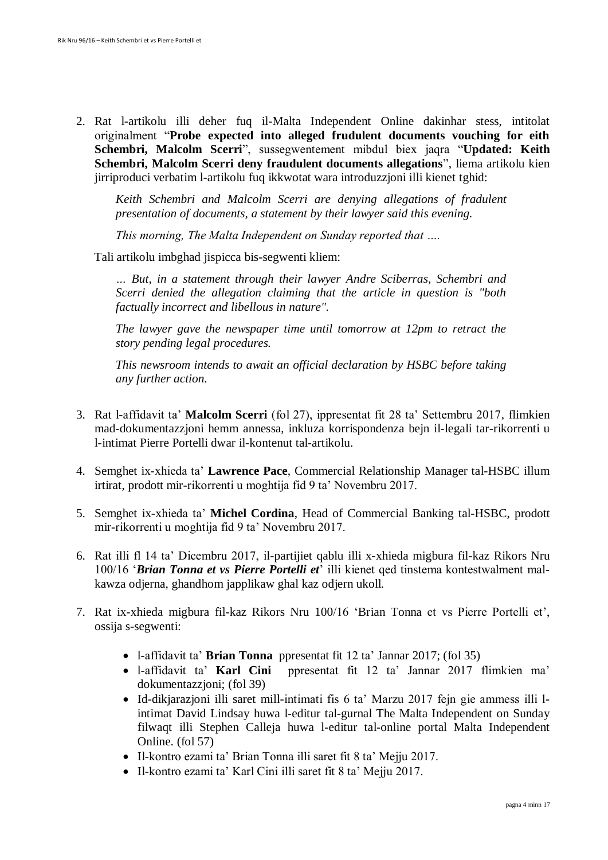2. Rat l-artikolu illi deher fuq il-Malta Independent Online dakinhar stess, intitolat originalment "**Probe expected into alleged frudulent documents vouching for eith Schembri, Malcolm Scerri**", sussegwentement mibdul biex jaqra "**Updated: Keith Schembri, Malcolm Scerri deny fraudulent documents allegations**", liema artikolu kien jirriproduci verbatim l-artikolu fuq ikkwotat wara introduzzjoni illi kienet tghid:

*Keith Schembri and Malcolm Scerri are denying allegations of fradulent presentation of documents, a statement by their lawyer said this evening.*

*This morning, The Malta Independent on Sunday reported that ….*

Tali artikolu imbghad jispicca bis-segwenti kliem:

*… But, in a statement through their lawyer Andre Sciberras, Schembri and Scerri denied the allegation claiming that the article in question is "both factually incorrect and libellous in nature".*

*The lawyer gave the newspaper time until tomorrow at 12pm to retract the story pending legal procedures.*

*This newsroom intends to await an official declaration by HSBC before taking any further action.*

- 3. Rat l-affidavit ta' **Malcolm Scerri** (fol 27), ippresentat fit 28 ta' Settembru 2017, flimkien mad-dokumentazzjoni hemm annessa, inkluza korrispondenza bejn il-legali tar-rikorrenti u l-intimat Pierre Portelli dwar il-kontenut tal-artikolu.
- 4. Semghet ix-xhieda ta' **Lawrence Pace**, Commercial Relationship Manager tal-HSBC illum irtirat, prodott mir-rikorrenti u moghtija fid 9 ta' Novembru 2017.
- 5. Semghet ix-xhieda ta' **Michel Cordina**, Head of Commercial Banking tal-HSBC, prodott mir-rikorrenti u moghtija fid 9 ta' Novembru 2017.
- 6. Rat illi fl 14 ta' Dicembru 2017, il-partijiet qablu illi x-xhieda migbura fil-kaz Rikors Nru 100/16 '*Brian Tonna et vs Pierre Portelli et*' illi kienet qed tinstema kontestwalment malkawza odjerna, ghandhom japplikaw ghal kaz odjern ukoll.
- 7. Rat ix-xhieda migbura fil-kaz Rikors Nru 100/16 'Brian Tonna et vs Pierre Portelli et', ossija s-segwenti:
	- l-affidavit ta' **Brian Tonna** ppresentat fit 12 ta' Jannar 2017; (fol 35)
	- l-affidavit ta' **Karl Cini** ppresentat fit 12 ta' Jannar 2017 flimkien ma' dokumentazzjoni; (fol 39)
	- Id-dikjarazjoni illi saret mill-intimati fis 6 ta' Marzu 2017 fejn gie ammess illi lintimat David Lindsay huwa l-editur tal-gurnal The Malta Independent on Sunday filwaqt illi Stephen Calleja huwa l-editur tal-online portal Malta Independent Online. (fol 57)
	- Il-kontro ezami ta' Brian Tonna illi saret fit 8 ta' Mejju 2017.
	- Il-kontro ezami ta' Karl Cini illi saret fit 8 ta' Mejju 2017.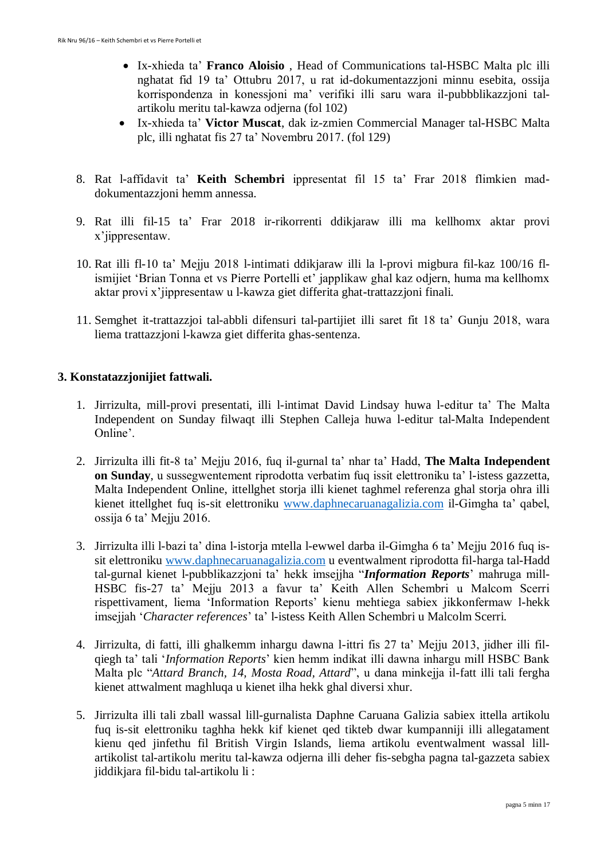- Ix-xhieda ta' **Franco Aloisio** , Head of Communications tal-HSBC Malta plc illi nghatat fid 19 ta' Ottubru 2017, u rat id-dokumentazzjoni minnu esebita, ossija korrispondenza in konessjoni ma' verifiki illi saru wara il-pubbblikazzjoni talartikolu meritu tal-kawza odjerna (fol 102)
- Ix-xhieda ta' **Victor Muscat**, dak iz-zmien Commercial Manager tal-HSBC Malta plc, illi nghatat fis 27 ta' Novembru 2017. (fol 129)
- 8. Rat l-affidavit ta' **Keith Schembri** ippresentat fil 15 ta' Frar 2018 flimkien maddokumentazzjoni hemm annessa.
- 9. Rat illi fil-15 ta' Frar 2018 ir-rikorrenti ddikjaraw illi ma kellhomx aktar provi x'jippresentaw.
- 10. Rat illi fl-10 ta' Mejju 2018 l-intimati ddikjaraw illi la l-provi migbura fil-kaz 100/16 flismijiet 'Brian Tonna et vs Pierre Portelli et' japplikaw ghal kaz odjern, huma ma kellhomx aktar provi x'jippresentaw u l-kawza giet differita ghat-trattazzjoni finali.
- 11. Semghet it-trattazzjoi tal-abbli difensuri tal-partijiet illi saret fit 18 ta' Gunju 2018, wara liema trattazzjoni l-kawza giet differita ghas-sentenza.

# **3. Konstatazzjonijiet fattwali.**

- 1. Jirrizulta, mill-provi presentati, illi l-intimat David Lindsay huwa l-editur ta' The Malta Independent on Sunday filwaqt illi Stephen Calleja huwa l-editur tal-Malta Independent Online'.
- 2. Jirrizulta illi fit-8 ta' Mejju 2016, fuq il-gurnal ta' nhar ta' Hadd, **The Malta Independent on Sunday**, u sussegwentement riprodotta verbatim fuq issit elettroniku ta' l-istess gazzetta, Malta Independent Online, ittellghet storja illi kienet taghmel referenza ghal storja ohra illi kienet ittellghet fuq is-sit elettroniku [www.daphnecaruanagalizia.com](http://www.daphnecaruanagalizia.com/) il-Gimgha ta' qabel, ossija 6 ta' Mejju 2016.
- 3. Jirrizulta illi l-bazi ta' dina l-istorja mtella l-ewwel darba il-Gimgha 6 ta' Mejju 2016 fuq issit elettroniku [www.daphnecaruanagalizia.com](http://www.daphnecaruanagalizia.com/) u eventwalment riprodotta fil-harga tal-Hadd tal-gurnal kienet l-pubblikazzjoni ta' hekk imsejjha "*Information Reports*' mahruga mill-HSBC fis-27 ta' Mejju 2013 a favur ta' Keith Allen Schembri u Malcom Scerri rispettivament, liema 'Information Reports' kienu mehtiega sabiex jikkonfermaw l-hekk imsejjah '*Character references*' ta' l-istess Keith Allen Schembri u Malcolm Scerri.
- 4. Jirrizulta, di fatti, illi ghalkemm inhargu dawna l-ittri fis 27 ta' Mejju 2013, jidher illi filqiegh ta' tali '*Information Reports*' kien hemm indikat illi dawna inhargu mill HSBC Bank Malta plc "*Attard Branch, 14, Mosta Road, Attard*", u dana minkejja il-fatt illi tali fergha kienet attwalment maghluqa u kienet ilha hekk ghal diversi xhur.
- 5. Jirrizulta illi tali zball wassal lill-gurnalista Daphne Caruana Galizia sabiex ittella artikolu fuq is-sit elettroniku taghha hekk kif kienet qed tikteb dwar kumpanniji illi allegatament kienu qed jinfethu fil British Virgin Islands, liema artikolu eventwalment wassal lillartikolist tal-artikolu meritu tal-kawza odjerna illi deher fis-sebgha pagna tal-gazzeta sabiex jiddikjara fil-bidu tal-artikolu li :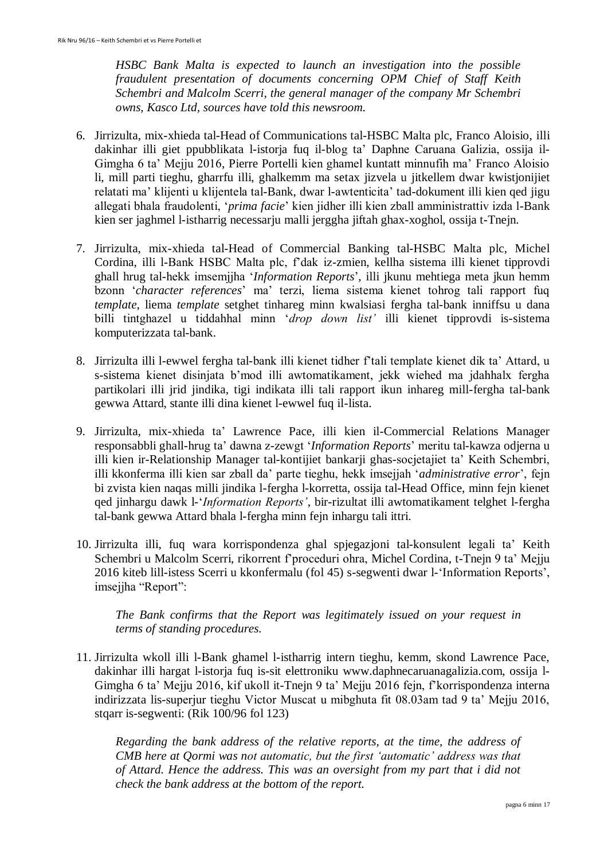*HSBC Bank Malta is expected to launch an investigation into the possible fraudulent presentation of documents concerning OPM Chief of Staff Keith Schembri and Malcolm Scerri, the general manager of the company Mr Schembri owns, Kasco Ltd, sources have told this newsroom.*

- 6. Jirrizulta, mix-xhieda tal-Head of Communications tal-HSBC Malta plc, Franco Aloisio, illi dakinhar illi giet ppubblikata l-istorja fuq il-blog ta' Daphne Caruana Galizia, ossija il-Gimgha 6 ta' Mejju 2016, Pierre Portelli kien ghamel kuntatt minnufih ma' Franco Aloisio li, mill parti tieghu, gharrfu illi, ghalkemm ma setax jizvela u jitkellem dwar kwistjonijiet relatati ma' klijenti u klijentela tal-Bank, dwar l-awtenticita' tad-dokument illi kien qed jigu allegati bhala fraudolenti, '*prima facie*' kien jidher illi kien zball amministrattiv izda l-Bank kien ser jaghmel l-istharrig necessarju malli jerggha jiftah ghax-xoghol, ossija t-Tnejn.
- 7. Jirrizulta, mix-xhieda tal-Head of Commercial Banking tal-HSBC Malta plc, Michel Cordina, illi l-Bank HSBC Malta plc, f'dak iz-zmien, kellha sistema illi kienet tipprovdi ghall hrug tal-hekk imsemjjha '*Information Reports*', illi jkunu mehtiega meta jkun hemm bzonn '*character references*' ma' terzi, liema sistema kienet tohrog tali rapport fuq *template*, liema *template* setghet tinhareg minn kwalsiasi fergha tal-bank inniffsu u dana billi tintghazel u tiddahhal minn '*drop down list'* illi kienet tipprovdi is-sistema komputerizzata tal-bank.
- 8. Jirrizulta illi l-ewwel fergha tal-bank illi kienet tidher f'tali template kienet dik ta' Attard, u s-sistema kienet disinjata b'mod illi awtomatikament, jekk wiehed ma jdahhalx fergha partikolari illi jrid jindika, tigi indikata illi tali rapport ikun inhareg mill-fergha tal-bank gewwa Attard, stante illi dina kienet l-ewwel fuq il-lista.
- 9. Jirrizulta, mix-xhieda ta' Lawrence Pace, illi kien il-Commercial Relations Manager responsabbli ghall-hrug ta' dawna z-zewgt '*Information Reports*' meritu tal-kawza odjerna u illi kien ir-Relationship Manager tal-kontijiet bankarji ghas-socjetajiet ta' Keith Schembri, illi kkonferma illi kien sar zball da' parte tieghu, hekk imsejjah '*administrative error*', fejn bi zvista kien naqas milli jindika l-fergha l-korretta, ossija tal-Head Office, minn fejn kienet qed jinhargu dawk l-'*Information Reports'*, bir-rizultat illi awtomatikament telghet l-fergha tal-bank gewwa Attard bhala l-fergha minn fejn inhargu tali ittri.
- 10. Jirrizulta illi, fuq wara korrispondenza ghal spjegazjoni tal-konsulent legali ta' Keith Schembri u Malcolm Scerri, rikorrent f'proceduri ohra, Michel Cordina, t-Tnejn 9 ta' Mejju 2016 kiteb lill-istess Scerri u kkonfermalu (fol 45) s-segwenti dwar l-'Information Reports', imsejjha "Report":

*The Bank confirms that the Report was legitimately issued on your request in terms of standing procedures.*

11. Jirrizulta wkoll illi l-Bank ghamel l-istharrig intern tieghu, kemm, skond Lawrence Pace, dakinhar illi hargat l-istorja fuq is-sit elettroniku www.daphnecaruanagalizia.com, ossija l-Gimgha 6 ta' Mejju 2016, kif ukoll it-Tnejn 9 ta' Mejju 2016 fejn, f'korrispondenza interna indirizzata lis-superjur tieghu Victor Muscat u mibghuta fit 08.03am tad 9 ta' Mejju 2016, stqarr is-segwenti: (Rik 100/96 fol 123)

*Regarding the bank address of the relative reports, at the time, the address of CMB here at Qormi was not automatic, but the first 'automatic' address was that of Attard. Hence the address. This was an oversight from my part that i did not check the bank address at the bottom of the report.*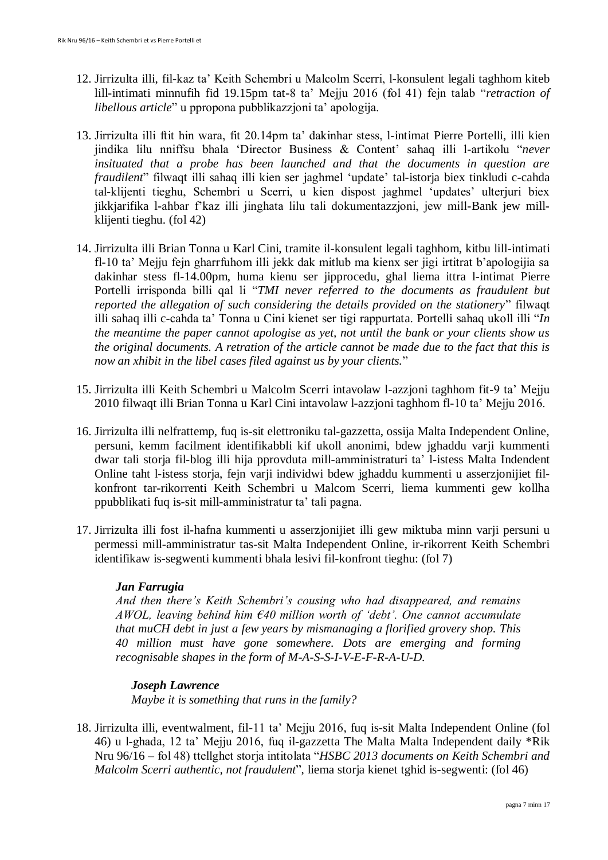- 12. Jirrizulta illi, fil-kaz ta' Keith Schembri u Malcolm Scerri, l-konsulent legali taghhom kiteb lill-intimati minnufih fid 19.15pm tat-8 ta' Mejju 2016 (fol 41) fejn talab "*retraction of libellous article*" u ppropona pubblikazzjoni ta' apologija.
- 13. Jirrizulta illi ftit hin wara, fit 20.14pm ta' dakinhar stess, l-intimat Pierre Portelli, illi kien jindika lilu nniffsu bhala 'Director Business & Content' sahaq illi l-artikolu "*never insituated that a probe has been launched and that the documents in question are fraudilent*" filwaqt illi sahaq illi kien ser jaghmel 'update' tal-istorja biex tinkludi c-cahda tal-klijenti tieghu, Schembri u Scerri, u kien dispost jaghmel 'updates' ulterjuri biex jikkjarifika l-ahbar f'kaz illi jinghata lilu tali dokumentazzjoni, jew mill-Bank jew millklijenti tieghu. (fol 42)
- 14. Jirrizulta illi Brian Tonna u Karl Cini, tramite il-konsulent legali taghhom, kitbu lill-intimati fl-10 ta' Mejju fejn gharrfuhom illi jekk dak mitlub ma kienx ser jigi irtitrat b'apologijia sa dakinhar stess fl-14.00pm, huma kienu ser jipprocedu, ghal liema ittra l-intimat Pierre Portelli irrisponda billi qal li "*TMI never referred to the documents as fraudulent but reported the allegation of such considering the details provided on the stationery*" filwaqt illi sahaq illi c-cahda ta' Tonna u Cini kienet ser tigi rappurtata. Portelli sahaq ukoll illi "*In the meantime the paper cannot apologise as yet, not until the bank or your clients show us the original documents. A retration of the article cannot be made due to the fact that this is now an xhibit in the libel cases filed against us by your clients.*"
- 15. Jirrizulta illi Keith Schembri u Malcolm Scerri intavolaw l-azzjoni taghhom fit-9 ta' Mejju 2010 filwaqt illi Brian Tonna u Karl Cini intavolaw l-azzjoni taghhom fl-10 ta' Mejju 2016.
- 16. Jirrizulta illi nelfrattemp, fuq is-sit elettroniku tal-gazzetta, ossija Malta Independent Online, persuni, kemm facilment identifikabbli kif ukoll anonimi, bdew jghaddu varji kummenti dwar tali storja fil-blog illi hija pprovduta mill-amministraturi ta' l-istess Malta Indendent Online taht l-istess storja, fejn varji individwi bdew jghaddu kummenti u asserzjonijiet filkonfront tar-rikorrenti Keith Schembri u Malcom Scerri, liema kummenti gew kollha ppubblikati fuq is-sit mill-amministratur ta' tali pagna.
- 17. Jirrizulta illi fost il-hafna kummenti u asserzjonijiet illi gew miktuba minn varji persuni u permessi mill-amministratur tas-sit Malta Independent Online, ir-rikorrent Keith Schembri identifikaw is-segwenti kummenti bhala lesivi fil-konfront tieghu: (fol 7)

## *Jan Farrugia*

*And then there's Keith Schembri's cousing who had disappeared, and remains AWOL, leaving behind him €40 million worth of 'debt'. One cannot accumulate that muCH debt in just a few years by mismanaging a florified grovery shop. This 40 million must have gone somewhere. Dots are emerging and forming recognisable shapes in the form of M-A-S-S-I-V-E-F-R-A-U-D.*

## *Joseph Lawrence*

*Maybe it is something that runs in the family?*

18. Jirrizulta illi, eventwalment, fil-11 ta' Mejju 2016, fuq is-sit Malta Independent Online (fol 46) u l-ghada, 12 ta' Mejju 2016, fuq il-gazzetta The Malta Malta Independent daily \*Rik Nru 96/16 – fol 48) ttellghet storja intitolata "*HSBC 2013 documents on Keith Schembri and Malcolm Scerri authentic, not fraudulent*", liema storja kienet tghid is-segwenti: (fol 46)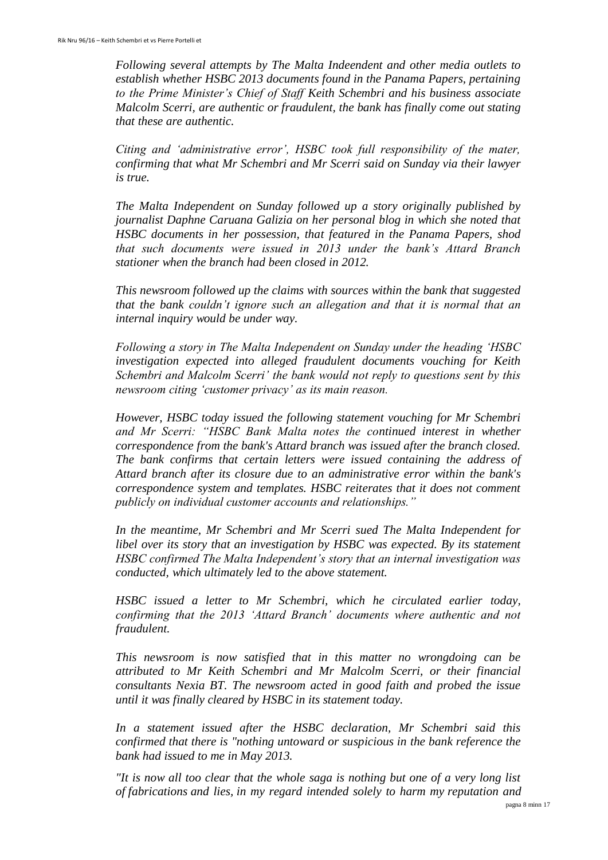*Following several attempts by The Malta Indeendent and other media outlets to establish whether HSBC 2013 documents found in the Panama Papers, pertaining to the Prime Minister's Chief of Staff Keith Schembri and his business associate Malcolm Scerri, are authentic or fraudulent, the bank has finally come out stating that these are authentic.*

*Citing and 'administrative error', HSBC took full responsibility of the mater, confirming that what Mr Schembri and Mr Scerri said on Sunday via their lawyer is true.*

*The Malta Independent on Sunday followed up a story originally published by journalist Daphne Caruana Galizia on her personal blog in which she noted that HSBC documents in her possession, that featured in the Panama Papers, shod that such documents were issued in 2013 under the bank's Attard Branch stationer when the branch had been closed in 2012.*

*This newsroom followed up the claims with sources within the bank that suggested that the bank couldn't ignore such an allegation and that it is normal that an internal inquiry would be under way.*

*Following a story in The Malta Independent on Sunday under the heading 'HSBC investigation expected into alleged fraudulent documents vouching for Keith Schembri and Malcolm Scerri' the bank would not reply to questions sent by this newsroom citing 'customer privacy' as its main reason.*

*However, HSBC today issued the following statement vouching for Mr Schembri and Mr Scerri: "HSBC Bank Malta notes the continued interest in whether correspondence from the bank's Attard branch was issued after the branch closed. The bank confirms that certain letters were issued containing the address of Attard branch after its closure due to an administrative error within the bank's correspondence system and templates. HSBC reiterates that it does not comment publicly on individual customer accounts and relationships."*

*In the meantime, Mr Schembri and Mr Scerri sued The Malta Independent for libel over its story that an investigation by HSBC was expected. By its statement HSBC confirmed The Malta Independent's story that an internal investigation was conducted, which ultimately led to the above statement.*

*HSBC issued a letter to Mr Schembri, which he circulated earlier today, confirming that the 2013 'Attard Branch' documents where authentic and not fraudulent.*

*This newsroom is now satisfied that in this matter no wrongdoing can be attributed to Mr Keith Schembri and Mr Malcolm Scerri, or their financial consultants Nexia BT. The newsroom acted in good faith and probed the issue until it was finally cleared by HSBC in its statement today.*

*In a statement issued after the HSBC declaration, Mr Schembri said this confirmed that there is "nothing untoward or suspicious in the bank reference the bank had issued to me in May 2013.*

*"It is now all too clear that the whole saga is nothing but one of a very long list of fabrications and lies, in my regard intended solely to harm my reputation and*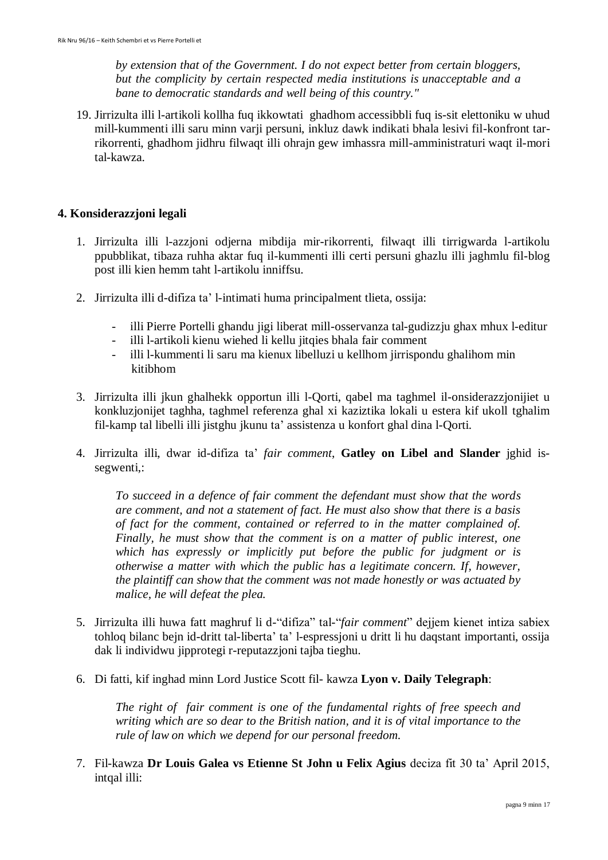*by extension that of the Government. I do not expect better from certain bloggers, but the complicity by certain respected media institutions is unacceptable and a bane to democratic standards and well being of this country."*

19. Jirrizulta illi l-artikoli kollha fuq ikkowtati ghadhom accessibbli fuq is-sit elettoniku w uhud mill-kummenti illi saru minn varji persuni, inkluz dawk indikati bhala lesivi fil-konfront tarrikorrenti, ghadhom jidhru filwaqt illi ohrajn gew imhassra mill-amministraturi waqt il-mori tal-kawza.

## **4. Konsiderazzjoni legali**

- 1. Jirrizulta illi l-azzjoni odjerna mibdija mir-rikorrenti, filwaqt illi tirrigwarda l-artikolu ppubblikat, tibaza ruhha aktar fuq il-kummenti illi certi persuni ghazlu illi jaghmlu fil-blog post illi kien hemm taht l-artikolu inniffsu.
- 2. Jirrizulta illi d-difiza ta' l-intimati huma principalment tlieta, ossija:
	- illi Pierre Portelli ghandu jigi liberat mill-osservanza tal-gudizzju ghax mhux l-editur
	- illi l-artikoli kienu wiehed li kellu jitqies bhala fair comment
	- illi l-kummenti li saru ma kienux libelluzi u kellhom jirrispondu ghalihom min kitibhom
- 3. Jirrizulta illi jkun ghalhekk opportun illi l-Qorti, qabel ma taghmel il-onsiderazzjonijiet u konkluzjonijet taghha, taghmel referenza ghal xi kaziztika lokali u estera kif ukoll tghalim fil-kamp tal libelli illi jistghu jkunu ta' assistenza u konfort ghal dina l-Qorti.
- 4. Jirrizulta illi, dwar id-difiza ta' *fair comment*, **Gatley on Libel and Slander** jghid issegwenti,:

*To succeed in a defence of fair comment the defendant must show that the words are comment, and not a statement of fact. He must also show that there is a basis of fact for the comment, contained or referred to in the matter complained of. Finally, he must show that the comment is on a matter of public interest, one which has expressly or implicitly put before the public for judgment or is otherwise a matter with which the public has a legitimate concern. If, however, the plaintiff can show that the comment was not made honestly or was actuated by malice, he will defeat the plea.*

- 5. Jirrizulta illi huwa fatt maghruf li d-"difiza" tal-"*fair comment*" dejjem kienet intiza sabiex tohloq bilanc bejn id-dritt tal-liberta' ta' l-espressjoni u dritt li hu daqstant importanti, ossija dak li individwu jipprotegi r-reputazzjoni tajba tieghu.
- 6. Di fatti, kif inghad minn Lord Justice Scott fil- kawza **Lyon v. Daily Telegraph**:

*The right of fair comment is one of the fundamental rights of free speech and writing which are so dear to the British nation, and it is of vital importance to the rule of law on which we depend for our personal freedom.*

7. Fil-kawza **Dr Louis Galea vs Etienne St John u Felix Agius** deciza fit 30 ta' April 2015, intqal illi: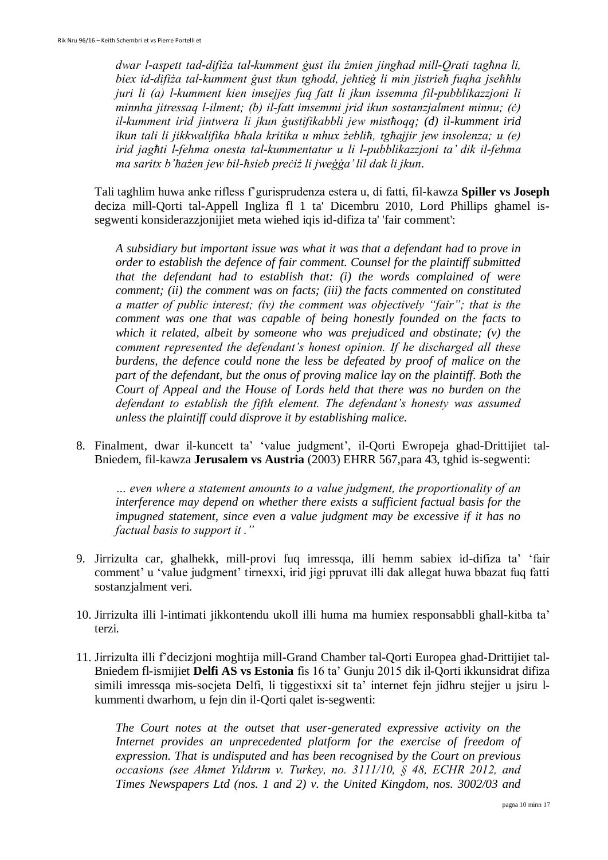dwar l-aspett tad-difi*ża tal-kumment gust ilu żmien jinghad mill-Orati taghna li,* biex id-difiża tal-kumment gust tkun tghodd, jehtieg li min jistrieh fuqha jsehhlu *juri li (a) l-kumment kien imsejjes fuq fatt li jkun issemma fil-pubblikazzjoni li minnha jitressaq l-ilment; (b) il-fatt imsemmi jrid ikun sostanzjalment minnu; (c) il-kumment irid jintwera li jkun gustifikabbli jew misthoqq; (d) il-kumment irid ikun tali li jikkwalifika bhala kritika u mhux żeblih, tghajjir jew insolenza; u (e) irid jag ti l-fehma onesta tal-kummentatur u li l-pubblikazzjoni ta' dik il-fehma ma saritx b'hażen jew bil-hsieb preciż li jwegga' lil dak li jkun.* 

Tali taghlim huwa anke rifless f'gurisprudenza estera u, di fatti, fil-kawza **Spiller vs Joseph** deciza mill-Qorti tal-Appell Ingliza fl 1 ta' Dicembru 2010, Lord Phillips ghamel issegwenti konsiderazzjonijiet meta wiehed iqis id-difiza ta' 'fair comment':

*A subsidiary but important issue was what it was that a defendant had to prove in order to establish the defence of fair comment. Counsel for the plaintiff submitted that the defendant had to establish that: (i) the words complained of were comment; (ii) the comment was on facts; (iii) the facts commented on constituted a matter of public interest; (iv) the comment was objectively "fair"; that is the comment was one that was capable of being honestly founded on the facts to which it related, albeit by someone who was prejudiced and obstinate; (v) the comment represented the defendant's honest opinion. If he discharged all these burdens, the defence could none the less be defeated by proof of malice on the part of the defendant, but the onus of proving malice lay on the plaintiff. Both the Court of Appeal and the House of Lords held that there was no burden on the defendant to establish the fifth element. The defendant's honesty was assumed unless the plaintiff could disprove it by establishing malice.*

8. Finalment, dwar il-kuncett ta' 'value judgment', il-Qorti Ewropeja ghad-Drittijiet tal-Bniedem, fil-kawza **Jerusalem vs Austria** (2003) EHRR 567,para 43, tghid is-segwenti:

*… even where a statement amounts to a value judgment, the proportionality of an interference may depend on whether there exists a sufficient factual basis for the impugned statement, since even a value judgment may be excessive if it has no factual basis to support it ."*

- 9. Jirrizulta car, ghalhekk, mill-provi fuq imressqa, illi hemm sabiex id-difiza ta' 'fair comment' u 'value judgment' tirnexxi, irid jigi ppruvat illi dak allegat huwa bbazat fuq fatti sostanzjalment veri.
- 10. Jirrizulta illi l-intimati jikkontendu ukoll illi huma ma humiex responsabbli ghall-kitba ta' terzi.
- 11. Jirrizulta illi f'decizjoni moghtija mill-Grand Chamber tal-Qorti Europea ghad-Drittijiet tal-Bniedem fl-ismijiet **Delfi AS vs Estonia** fis 16 ta' Gunju 2015 dik il-Qorti ikkunsidrat difiza simili imressqa mis-socjeta Delfi, li tiggestixxi sit ta' internet fejn jidhru stejjer u jsiru lkummenti dwarhom, u fejn din il-Qorti qalet is-segwenti:

*The Court notes at the outset that user-generated expressive activity on the*  Internet provides an unprecedented platform for the exercise of freedom of *expression. That is undisputed and has been recognised by the Court on previous occasions see Ahmet Yıldırım v. Turkey, no. 3111/10, § 48, ECHR 2012, and Times Newspapers Ltd (nos. 1 and 2) v. the United Kingdom, nos. 3002/03 and*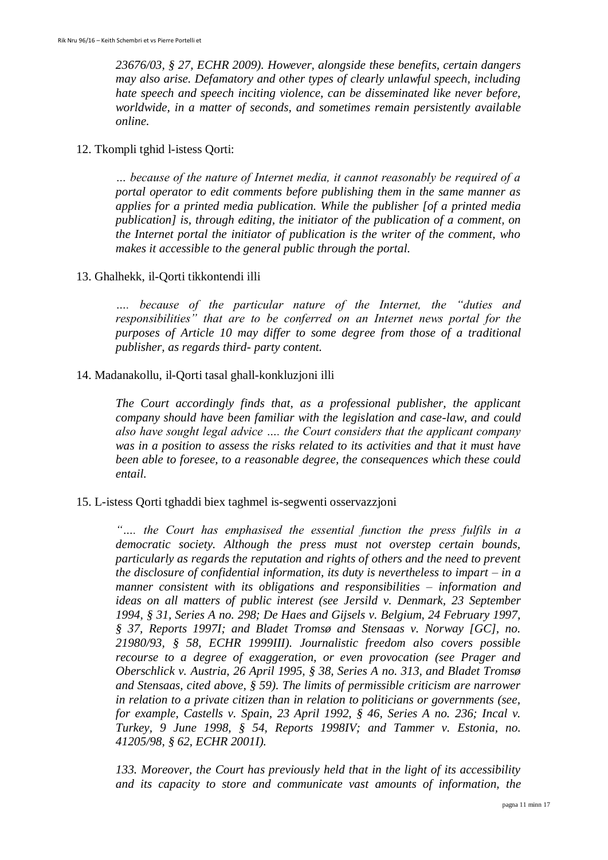*23676/03, § 27, ECHR 2009). However, alongside these benefits, certain dangers may also arise. Defamatory and other types of clearly unlawful speech, including hate speech and speech inciting violence, can be disseminated like never before, worldwide, in a matter of seconds, and sometimes remain persistently available online.*

#### 12. Tkompli tghid l-istess Qorti:

*… because of the nature of Internet media, it cannot reasonably be required of a portal operator to edit comments before publishing them in the same manner as applies for a printed media publication. While the publisher [of a printed media publication] is, through editing, the initiator of the publication of a comment, on the Internet portal the initiator of publication is the writer of the comment, who makes it accessible to the general public through the portal.*

#### 13. Ghalhekk, il-Qorti tikkontendi illi

*…. because of the particular nature of the Internet, the "duties and responsibilities" that are to be conferred on an Internet news portal for the purposes of Article 10 may differ to some degree from those of a traditional publisher, as regards third- party content.*

#### 14. Madanakollu, il-Qorti tasal ghall-konkluzjoni illi

*The Court accordingly finds that, as a professional publisher, the applicant company should have been familiar with the legislation and case-law, and could also have sought legal advice …. the Court considers that the applicant company was in a position to assess the risks related to its activities and that it must have been able to foresee, to a reasonable degree, the consequences which these could entail.* 

#### 15. L-istess Qorti tghaddi biex taghmel is-segwenti osservazzjoni

*"…. the Court has emphasised the essential function the press fulfils in a democratic society. Although the press must not overstep certain bounds, particularly as regards the reputation and rights of others and the need to prevent the disclosure of confidential information, its duty is nevertheless to impart – in a manner consistent with its obligations and responsibilities – information and ideas on all matters of public interest (see Jersild v. Denmark, 23 September 1994, § 31, Series A no. 298; De Haes and Gijsels v. Belgium, 24 February 1997, § 37, Reports 1997I; and Bladet Tromsø and Stensaas v. Norway [GC], no. 21980/93, § 58, ECHR 1999III). Journalistic freedom also covers possible recourse to a degree of exaggeration, or even provocation (see Prager and Oberschlick v. Austria, 26 April 1995, § 38, Series A no. 313, and Bladet Tromsø and Stensaas, cited above, § 59). The limits of permissible criticism are narrower in relation to a private citizen than in relation to politicians or governments (see, for example, Castells v. Spain, 23 April 1992, § 46, Series A no. 236; Incal v. Turkey, 9 June 1998, § 54, Reports 1998IV; and Tammer v. Estonia, no. 41205/98, § 62, ECHR 2001I).*

*133. Moreover, the Court has previously held that in the light of its accessibility and its capacity to store and communicate vast amounts of information, the*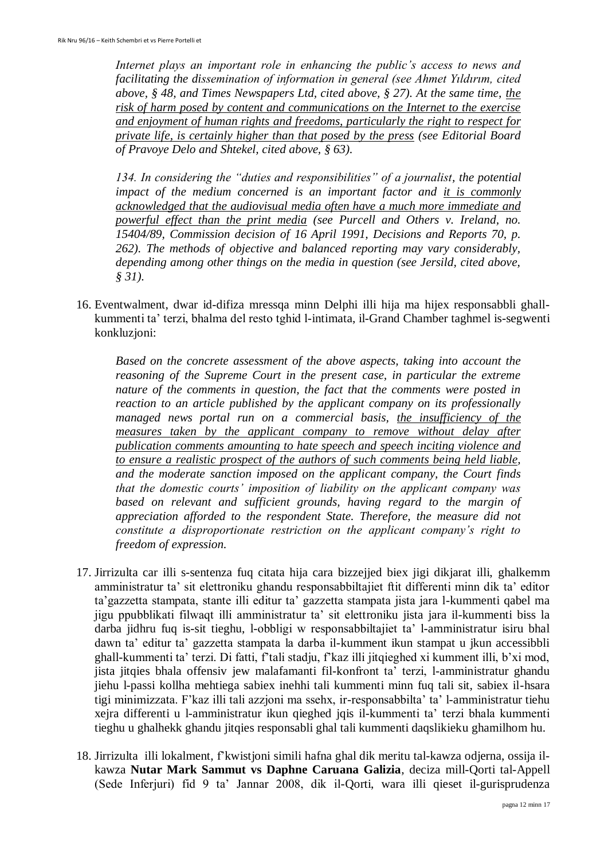*Internet plays an important role in enhancing the public's access to news and facilitating the dissemination of information in general (see Ahmet Yildirim, cited above, § 48, and Times Newspapers Ltd, cited above, § 27). At the same time, the risk of harm posed by content and communications on the Internet to the exercise and enjoyment of human rights and freedoms, particularly the right to respect for private life, is certainly higher than that posed by the press (see Editorial Board of Pravoye Delo and Shtekel, cited above, § 63).*

*134. In considering the "duties and responsibilities" of a journalist, the potential impact of the medium concerned is an important factor and it is commonly acknowledged that the audiovisual media often have a much more immediate and powerful effect than the print media (see Purcell and Others v. Ireland, no. 15404/89, Commission decision of 16 April 1991, Decisions and Reports 70, p. 262). The methods of objective and balanced reporting may vary considerably, depending among other things on the media in question (see Jersild, cited above, § 31).*

16. Eventwalment, dwar id-difiza mressqa minn Delphi illi hija ma hijex responsabbli ghallkummenti ta' terzi, bhalma del resto tghid l-intimata, il-Grand Chamber taghmel is-segwenti konkluzjoni:

*Based on the concrete assessment of the above aspects, taking into account the reasoning of the Supreme Court in the present case, in particular the extreme nature of the comments in question, the fact that the comments were posted in reaction to an article published by the applicant company on its professionally managed news portal run on a commercial basis, the insufficiency of the measures taken by the applicant company to remove without delay after publication comments amounting to hate speech and speech inciting violence and to ensure a realistic prospect of the authors of such comments being held liable, and the moderate sanction imposed on the applicant company, the Court finds that the domestic courts' imposition of liability on the applicant company was based on relevant and sufficient grounds, having regard to the margin of appreciation afforded to the respondent State. Therefore, the measure did not constitute a disproportionate restriction on the applicant company's right to freedom of expression.*

- 17. Jirrizulta car illi s-sentenza fuq citata hija cara bizzejjed biex jigi dikjarat illi, ghalkemm amministratur ta' sit elettroniku ghandu responsabbiltajiet ftit differenti minn dik ta' editor ta'gazzetta stampata, stante illi editur ta' gazzetta stampata jista jara l-kummenti qabel ma jigu ppubblikati filwaqt illi amministratur ta' sit elettroniku jista jara il-kummenti biss la darba jidhru fuq is-sit tieghu, l-obbligi w responsabbiltajiet ta' l-amministratur isiru bhal dawn ta' editur ta' gazzetta stampata la darba il-kumment ikun stampat u jkun accessibbli ghall-kummenti ta' terzi. Di fatti, f'tali stadju, f'kaz illi jitqieghed xi kumment illi, b'xi mod, jista jitqies bhala offensiv jew malafamanti fil-konfront ta' terzi, l-amministratur ghandu jiehu l-passi kollha mehtiega sabiex inehhi tali kummenti minn fuq tali sit, sabiex il-hsara tigi minimizzata. F'kaz illi tali azzjoni ma ssehx, ir-responsabbilta' ta' l-amministratur tiehu xejra differenti u l-amministratur ikun qieghed jqis il-kummenti ta' terzi bhala kummenti tieghu u ghalhekk ghandu jitqies responsabli ghal tali kummenti daqslikieku ghamilhom hu.
- 18. Jirrizulta illi lokalment, f'kwistjoni simili hafna ghal dik meritu tal-kawza odjerna, ossija ilkawza **Nutar Mark Sammut vs Daphne Caruana Galizia**, deciza mill-Qorti tal-Appell (Sede Inferjuri) fid 9 ta' Jannar 2008, dik il-Qorti, wara illi qieset il-gurisprudenza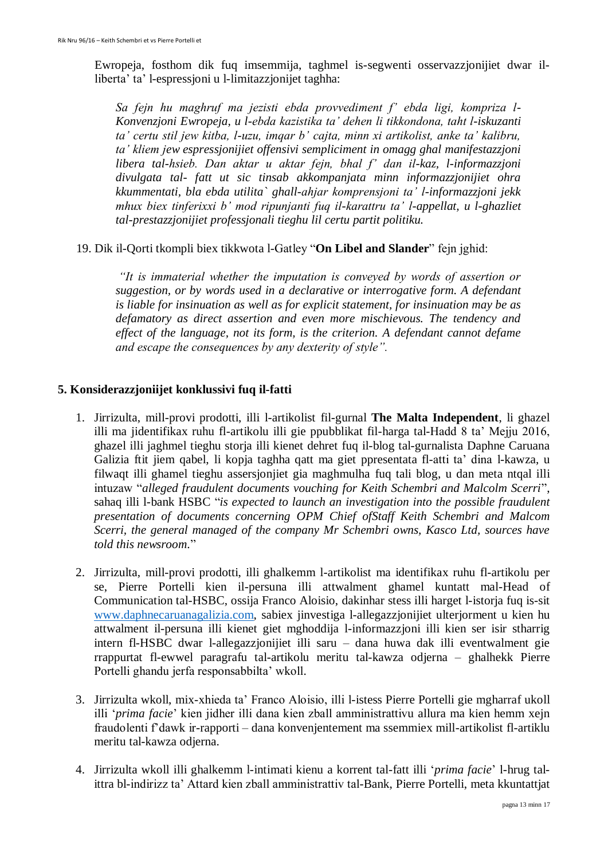Ewropeja, fosthom dik fuq imsemmija, taghmel is-segwenti osservazzjonijiet dwar illiberta' ta' l-espressjoni u l-limitazzjonijet taghha:

*Sa fejn hu maghruf ma jezisti ebda provvediment f' ebda ligi, kompriza l-Konvenzjoni Ewropeja, u l-ebda kazistika ta' dehen li tikkondona, taht l-iskuzanti ta' certu stil jew kitba, l-uzu, imqar b' cajta, minn xi artikolist, anke ta' kalibru, ta' kliem jew espressjonijiet offensivi sempliciment in omagg ghal manifestazzjoni libera tal-hsieb. Dan aktar u aktar fejn, bhal f' dan il-kaz, l-informazzjoni divulgata tal- fatt ut sic tinsab akkompanjata minn informazzjonijiet ohra kkummentati, bla ebda utilita` ghall-ahjar komprensjoni ta' l-informazzjoni jekk mhux biex tinferixxi b' mod ripunjanti fuq il-karattru ta' l-appellat, u l-ghazliet tal-prestazzjonijiet professjonali tieghu lil certu partit politiku.*

19. Dik il-Qorti tkompli biex tikkwota l-Gatley "**On Libel and Slander**" fejn jghid:

*"It is immaterial whether the imputation is conveyed by words of assertion or suggestion, or by words used in a declarative or interrogative form. A defendant is liable for insinuation as well as for explicit statement, for insinuation may be as defamatory as direct assertion and even more mischievous. The tendency and effect of the language, not its form, is the criterion. A defendant cannot defame and escape the consequences by any dexterity of style".*

#### **5. Konsiderazzjoniijet konklussivi fuq il-fatti**

- 1. Jirrizulta, mill-provi prodotti, illi l-artikolist fil-gurnal **The Malta Independent**, li ghazel illi ma jidentifikax ruhu fl-artikolu illi gie ppubblikat fil-harga tal-Hadd 8 ta' Mejju 2016, ghazel illi jaghmel tieghu storja illi kienet dehret fuq il-blog tal-gurnalista Daphne Caruana Galizia ftit jiem qabel, li kopja taghha qatt ma giet ppresentata fl-atti ta' dina l-kawza, u filwaqt illi ghamel tieghu assersjonjiet gia maghmulha fuq tali blog, u dan meta ntqal illi intuzaw "*alleged fraudulent documents vouching for Keith Schembri and Malcolm Scerri*", sahaq illi l-bank HSBC "*is expected to launch an investigation into the possible fraudulent presentation of documents concerning OPM Chief ofStaff Keith Schembri and Malcom Scerri, the general managed of the company Mr Schembri owns, Kasco Ltd, sources have told this newsroom.*"
- 2. Jirrizulta, mill-provi prodotti, illi ghalkemm l-artikolist ma identifikax ruhu fl-artikolu per se, Pierre Portelli kien il-persuna illi attwalment ghamel kuntatt mal-Head of Communication tal-HSBC, ossija Franco Aloisio, dakinhar stess illi harget l-istorja fuq is-sit [www.daphnecaruanagalizia.com,](http://www.daphnecaruanagalizia.com/) sabiex jinvestiga l-allegazzjonijiet ulterjorment u kien hu attwalment il-persuna illi kienet giet mghoddija l-informazzjoni illi kien ser isir stharrig intern fl-HSBC dwar l-allegazzjonijiet illi saru – dana huwa dak illi eventwalment gie rrappurtat fl-ewwel paragrafu tal-artikolu meritu tal-kawza odjerna – ghalhekk Pierre Portelli ghandu jerfa responsabbilta' wkoll.
- 3. Jirrizulta wkoll, mix-xhieda ta' Franco Aloisio, illi l-istess Pierre Portelli gie mgharraf ukoll illi '*prima facie*' kien jidher illi dana kien zball amministrattivu allura ma kien hemm xejn fraudolenti f'dawk ir-rapporti – dana konvenjentement ma ssemmiex mill-artikolist fl-artiklu meritu tal-kawza odjerna.
- 4. Jirrizulta wkoll illi ghalkemm l-intimati kienu a korrent tal-fatt illi '*prima facie*' l-hrug talittra bl-indirizz ta' Attard kien zball amministrattiv tal-Bank, Pierre Portelli, meta kkuntattjat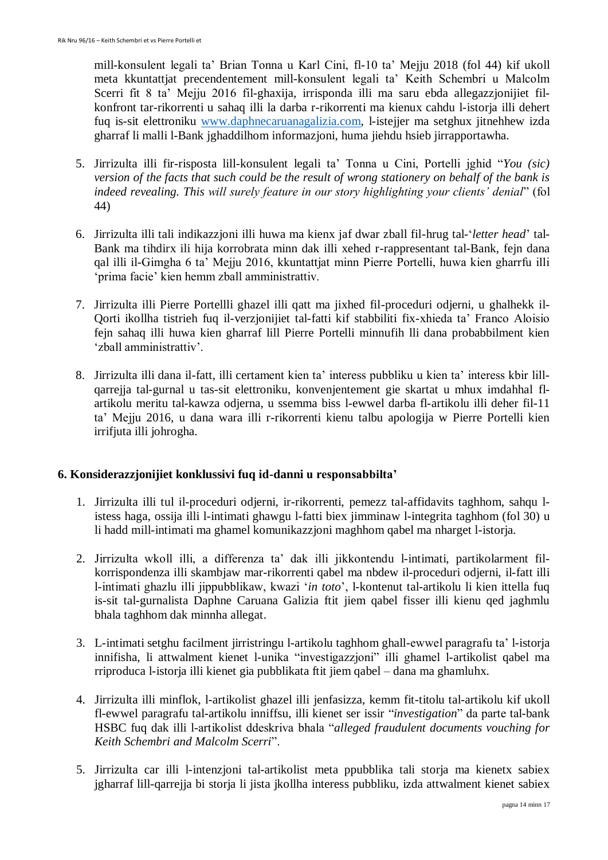mill-konsulent legali ta' Brian Tonna u Karl Cini, fl-10 ta' Mejju 2018 (fol 44) kif ukoll meta kkuntattjat precendentement mill-konsulent legali ta' Keith Schembri u Malcolm Scerri fit 8 ta' Mejju 2016 fil-ghaxija, irrisponda illi ma saru ebda allegazzjonijiet filkonfront tar-rikorrenti u sahaq illi la darba r-rikorrenti ma kienux cahdu l-istorja illi dehert fuq is-sit elettroniku [www.daphnecaruanagalizia.com,](http://www.daphnecaruanagalizia.com/) l-istejjer ma setghux jitnehhew izda gharraf li malli l-Bank jghaddilhom informazjoni, huma jiehdu hsieb jirrapportawha.

- 5. Jirrizulta illi fir-risposta lill-konsulent legali ta' Tonna u Cini, Portelli jghid "*You (sic) version of the facts that such could be the result of wrong stationery on behalf of the bank is indeed revealing. This will surely feature in our story highlighting your clients' denial*" (fol 44)
- 6. Jirrizulta illi tali indikazzjoni illi huwa ma kienx jaf dwar zball fil-hrug tal-'*letter head*' tal-Bank ma tihdirx ili hija korrobrata minn dak illi xehed r-rappresentant tal-Bank, fejn dana qal illi il-Gimgha 6 ta' Mejju 2016, kkuntattjat minn Pierre Portelli, huwa kien gharrfu illi 'prima facie' kien hemm zball amministrattiv.
- 7. Jirrizulta illi Pierre Portellli ghazel illi qatt ma jixhed fil-proceduri odjerni, u ghalhekk il-Qorti ikollha tistrieh fuq il-verzjonijiet tal-fatti kif stabbiliti fix-xhieda ta' Franco Aloisio fejn sahaq illi huwa kien gharraf lill Pierre Portelli minnufih lli dana probabbilment kien 'zball amministrattiv'.
- 8. Jirrizulta illi dana il-fatt, illi certament kien ta' interess pubbliku u kien ta' interess kbir lillqarrejja tal-gurnal u tas-sit elettroniku, konvenjentement gie skartat u mhux imdahhal flartikolu meritu tal-kawza odjerna, u ssemma biss l-ewwel darba fl-artikolu illi deher fil-11 ta' Mejju 2016, u dana wara illi r-rikorrenti kienu talbu apologija w Pierre Portelli kien irrifjuta illi johrogha.

# **6. Konsiderazzjonijiet konklussivi fuq id-danni u responsabbilta'**

- 1. Jirrizulta illi tul il-proceduri odjerni, ir-rikorrenti, pemezz tal-affidavits taghhom, sahqu listess haga, ossija illi l-intimati ghawgu l-fatti biex jimminaw l-integrita taghhom (fol 30) u li hadd mill-intimati ma ghamel komunikazzjoni maghhom qabel ma nharget l-istorja.
- 2. Jirrizulta wkoll illi, a differenza ta' dak illi jikkontendu l-intimati, partikolarment filkorrispondenza illi skambjaw mar-rikorrenti qabel ma nbdew il-proceduri odjerni, il-fatt illi l-intimati ghazlu illi jippubblikaw, kwazi '*in toto*', l-kontenut tal-artikolu li kien ittella fuq is-sit tal-gurnalista Daphne Caruana Galizia ftit jiem qabel fisser illi kienu qed jaghmlu bhala taghhom dak minnha allegat.
- 3. L-intimati setghu facilment jirristringu l-artikolu taghhom ghall-ewwel paragrafu ta' l-istorja innifisha, li attwalment kienet l-unika "investigazzjoni" illi ghamel l-artikolist qabel ma rriproduca l-istorja illi kienet gia pubblikata ftit jiem qabel – dana ma ghamluhx.
- 4. Jirrizulta illi minflok, l-artikolist ghazel illi jenfasizza, kemm fit-titolu tal-artikolu kif ukoll fl-ewwel paragrafu tal-artikolu inniffsu, illi kienet ser issir "*investigation*" da parte tal-bank HSBC fuq dak illi l-artikolist ddeskriva bhala "*alleged fraudulent documents vouching for Keith Schembri and Malcolm Scerri*".
- 5. Jirrizulta car illi l-intenzjoni tal-artikolist meta ppubblika tali storja ma kienetx sabiex jgharraf lill-qarrejja bi storja li jista jkollha interess pubbliku, izda attwalment kienet sabiex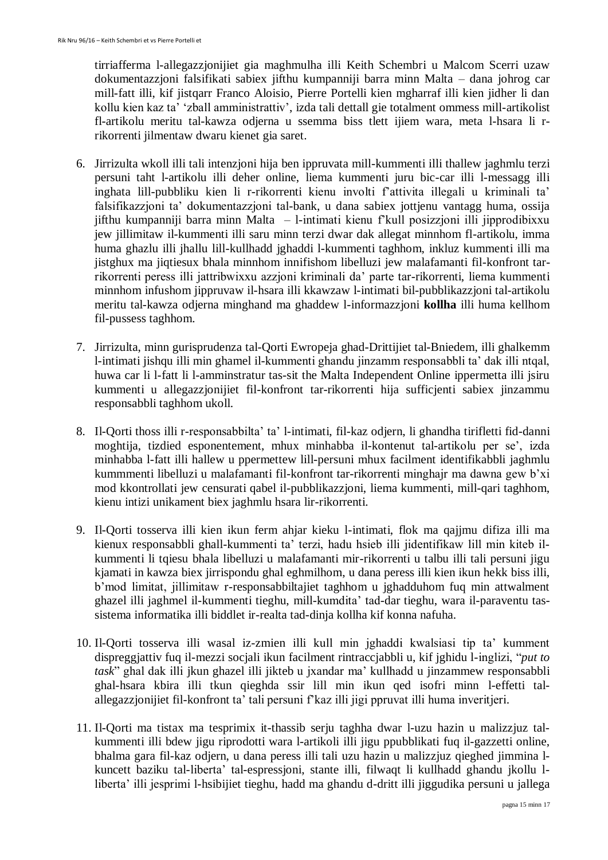tirriafferma l-allegazzjonijiet gia maghmulha illi Keith Schembri u Malcom Scerri uzaw dokumentazzjoni falsifikati sabiex jifthu kumpanniji barra minn Malta – dana johrog car mill-fatt illi, kif jistqarr Franco Aloisio, Pierre Portelli kien mgharraf illi kien jidher li dan kollu kien kaz ta' 'zball amministrattiv', izda tali dettall gie totalment ommess mill-artikolist fl-artikolu meritu tal-kawza odjerna u ssemma biss tlett ijiem wara, meta l-hsara li rrikorrenti jilmentaw dwaru kienet gia saret.

- 6. Jirrizulta wkoll illi tali intenzjoni hija ben ippruvata mill-kummenti illi thallew jaghmlu terzi persuni taht l-artikolu illi deher online, liema kummenti juru bic-car illi l-messagg illi inghata lill-pubbliku kien li r-rikorrenti kienu involti f'attivita illegali u kriminali ta' falsifikazzjoni ta' dokumentazzjoni tal-bank, u dana sabiex jottjenu vantagg huma, ossija jifthu kumpanniji barra minn Malta – l-intimati kienu f'kull posizzjoni illi jipprodibixxu jew jillimitaw il-kummenti illi saru minn terzi dwar dak allegat minnhom fl-artikolu, imma huma ghazlu illi jhallu lill-kullhadd jghaddi l-kummenti taghhom, inkluz kummenti illi ma jistghux ma jiqtiesux bhala minnhom innifishom libelluzi jew malafamanti fil-konfront tarrikorrenti peress illi jattribwixxu azzjoni kriminali da' parte tar-rikorrenti, liema kummenti minnhom infushom jippruvaw il-hsara illi kkawzaw l-intimati bil-pubblikazzjoni tal-artikolu meritu tal-kawza odjerna minghand ma ghaddew l-informazzjoni **kollha** illi huma kellhom fil-pussess taghhom.
- 7. Jirrizulta, minn gurisprudenza tal-Qorti Ewropeja ghad-Drittijiet tal-Bniedem, illi ghalkemm l-intimati jishqu illi min ghamel il-kummenti ghandu jinzamm responsabbli ta' dak illi ntqal, huwa car li l-fatt li l-amminstratur tas-sit the Malta Independent Online ippermetta illi jsiru kummenti u allegazzjonijiet fil-konfront tar-rikorrenti hija sufficjenti sabiex jinzammu responsabbli taghhom ukoll.
- 8. Il-Qorti thoss illi r-responsabbilta' ta' l-intimati, fil-kaz odjern, li ghandha tirifletti fid-danni moghtija, tizdied esponentement, mhux minhabba il-kontenut tal-artikolu per se', izda minhabba l-fatt illi hallew u ppermettew lill-persuni mhux facilment identifikabbli jaghmlu kummmenti libelluzi u malafamanti fil-konfront tar-rikorrenti minghajr ma dawna gew b'xi mod kkontrollati jew censurati qabel il-pubblikazzjoni, liema kummenti, mill-qari taghhom, kienu intizi unikament biex jaghmlu hsara lir-rikorrenti.
- 9. Il-Qorti tosserva illi kien ikun ferm ahjar kieku l-intimati, flok ma qajjmu difiza illi ma kienux responsabbli ghall-kummenti ta' terzi, hadu hsieb illi jidentifikaw lill min kiteb ilkummenti li tqiesu bhala libelluzi u malafamanti mir-rikorrenti u talbu illi tali persuni jigu kjamati in kawza biex jirrispondu ghal eghmilhom, u dana peress illi kien ikun hekk biss illi, b'mod limitat, jillimitaw r-responsabbiltajiet taghhom u jghadduhom fuq min attwalment ghazel illi jaghmel il-kummenti tieghu, mill-kumdita' tad-dar tieghu, wara il-paraventu tassistema informatika illi biddlet ir-realta tad-dinja kollha kif konna nafuha.
- 10. Il-Qorti tosserva illi wasal iz-zmien illi kull min jghaddi kwalsiasi tip ta' kumment dispreggjattiv fuq il-mezzi socjali ikun facilment rintraccjabbli u, kif jghidu l-inglizi, "*put to task*" ghal dak illi jkun ghazel illi jikteb u jxandar ma' kullhadd u jinzammew responsabbli ghal-hsara kbira illi tkun qieghda ssir lill min ikun qed isofri minn l-effetti talallegazzjonijiet fil-konfront ta' tali persuni f'kaz illi jigi ppruvat illi huma inveritjeri.
- 11. Il-Qorti ma tistax ma tesprimix it-thassib serju taghha dwar l-uzu hazin u malizzjuz talkummenti illi bdew jigu riprodotti wara l-artikoli illi jigu ppubblikati fuq il-gazzetti online, bhalma gara fil-kaz odjern, u dana peress illi tali uzu hazin u malizzjuz qieghed jimmina lkuncett baziku tal-liberta' tal-espressjoni, stante illi, filwaqt li kullhadd ghandu jkollu lliberta' illi jesprimi l-hsibijiet tieghu, hadd ma ghandu d-dritt illi jiggudika persuni u jallega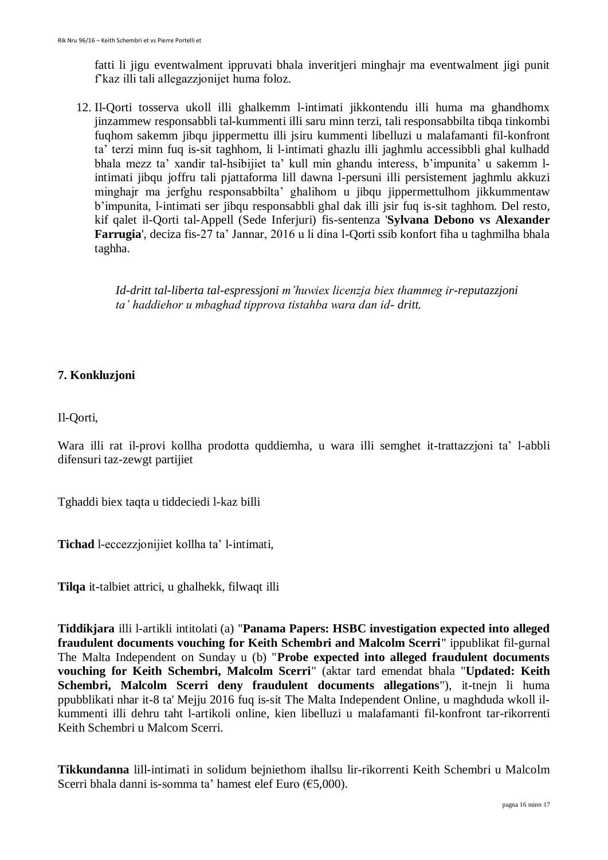fatti li jigu eventwalment ippruvati bhala inveritjeri minghajr ma eventwalment jigi punit f'kaz illi tali allegazzjonijet huma foloz.

12. Il-Qorti tosserva ukoll illi ghalkemm l-intimati jikkontendu illi huma ma ghandhomx jinzammew responsabbli tal-kummenti illi saru minn terzi, tali responsabbilta tibqa tinkombi fuqhom sakemm jibqu jippermettu illi jsiru kummenti libelluzi u malafamanti fil-konfront ta' terzi minn fuq is-sit taghhom, li l-intimati ghazlu illi jaghmlu accessibbli ghal kulhadd bhala mezz ta' xandir tal-hsibijiet ta' kull min ghandu interess, b'impunita' u sakemm lintimati jibqu joffru tali pjattaforma lill dawna l-persuni illi persistement jaghmlu akkuzi minghajr ma jerfghu responsabbilta' ghalihom u jibqu jippermettulhom jikkummentaw b'impunita, l-intimati ser jibqu responsabbli ghal dak illi jsir fuq is-sit taghhom. Del resto, kif qalet il-Qorti tal-Appell (Sede Inferjuri) fis-sentenza '**Sylvana Debono vs Alexander Farrugia**', deciza fis-27 ta' Jannar, 2016 u li dina l-Qorti ssib konfort fiha u taghmilha bhala taghha.

*Id-dritt tal-liberta tal-espressjoni m'huwiex licenzja biex thammeg ir-reputazzjoni ta' haddiehor u mbaghad tipprova tistahba wara dan id- dritt.*

# **7. Konkluzjoni**

Il-Qorti,

Wara illi rat il-provi kollha prodotta quddiemha, u wara illi semghet it-trattazzjoni ta' l-abbli difensuri taz-zewgt partijiet

Tghaddi biex taqta u tiddeciedi l-kaz billi

**Tichad** l-eccezzjonijiet kollha ta' l-intimati,

**Tilqa** it-talbiet attrici, u ghalhekk, filwaqt illi

**Tiddikjara** illi l-artikli intitolati (a) "**Panama Papers: HSBC investigation expected into alleged fraudulent documents vouching for Keith Schembri and Malcolm Scerri**" ippublikat fil-gurnal The Malta Independent on Sunday u (b) "**Probe expected into alleged fraudulent documents vouching for Keith Schembri, Malcolm Scerri**" (aktar tard emendat bhala "**Updated: Keith Schembri, Malcolm Scerri deny fraudulent documents allegations**"), it-tnejn li huma ppubblikati nhar it-8 ta' Mejju 2016 fuq is-sit The Malta Independent Online, u maghduda wkoll ilkummenti illi dehru taht l-artikoli online, kien libelluzi u malafamanti fil-konfront tar-rikorrenti Keith Schembri u Malcom Scerri.

**Tikkundanna** lill-intimati in solidum bejniethom ihallsu lir-rikorrenti Keith Schembri u Malcolm Scerri bhala danni is-somma ta' hamest elef Euro (€5,000).